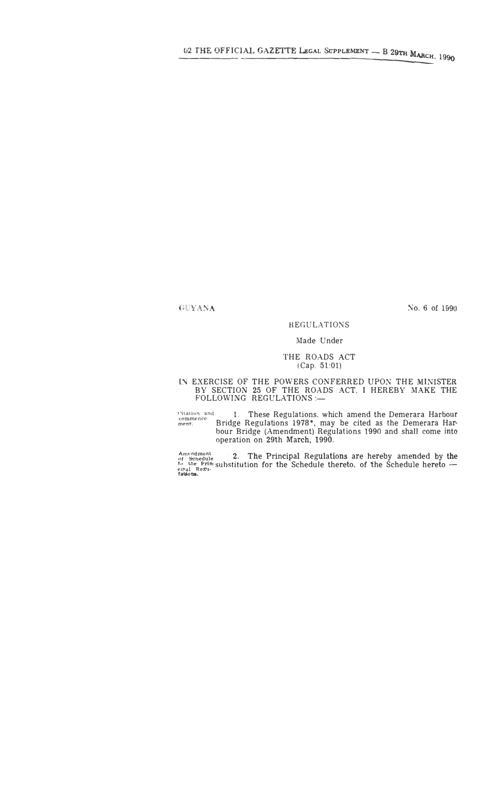# GUYANA

No. 6 of 1990

### **REGULATIONS**

## Made Under

#### THE ROADS ACT  $(Cap. 51:01)$

# IN EXERCISE OF THE POWERS CONFERRED UPON THE MINISTER BY SECTION 25 OF THE ROADS ACT, I HEREBY MAKE THE FOLLOWING REGULATIONS :—

Ultation and 1. These Regulations, which amend the Demerara Harbour<br>ment. Bridge Regulations 1978\*, may be cited as the Demerara Harbour Bridge (Amendment) Regulations 1990 and shall come into<br>operation on 29th March, 1990

Amendment<br>of Schedule<br>to the Prin-substitution for the Schedule thereto, of the Schedule hereto —<br>tautons.<br> $\frac{1}{10}$  Regu-